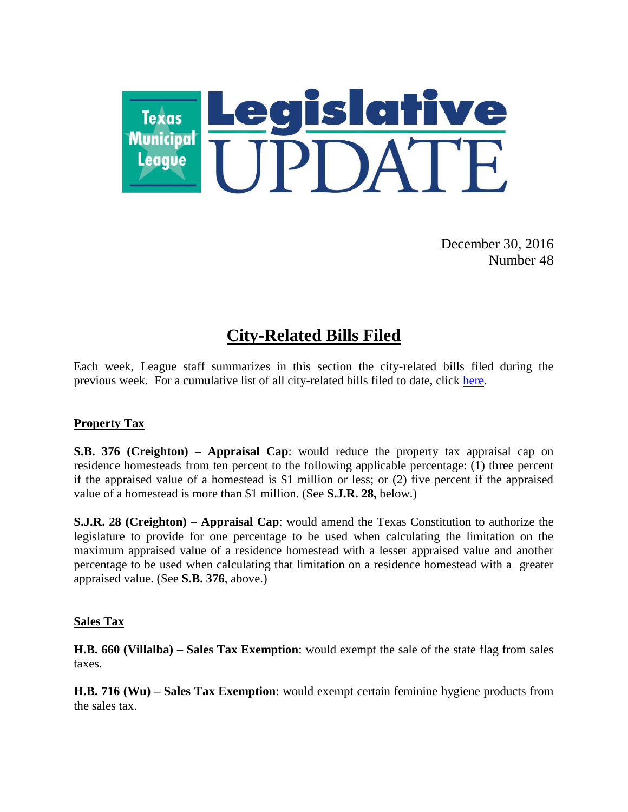

December 30, 2016 Number 48

# **City-Related Bills Filed**

Each week, League staff summarizes in this section the city-related bills filed during the previous week. For a cumulative list of all city-related bills filed to date, click [here.](http://www.tml.org/p/CityRelatedBills12_30_2016.pdf)

# **Property Tax**

**S.B. 376 (Creighton) – Appraisal Cap**: would reduce the property tax appraisal cap on residence homesteads from ten percent to the following applicable percentage: (1) three percent if the appraised value of a homestead is \$1 million or less; or (2) five percent if the appraised value of a homestead is more than \$1 million. (See **S.J.R. 28,** below.)

**S.J.R. 28 (Creighton) – Appraisal Cap**: would amend the Texas Constitution to authorize the legislature to provide for one percentage to be used when calculating the limitation on the maximum appraised value of a residence homestead with a lesser appraised value and another percentage to be used when calculating that limitation on a residence homestead with a greater appraised value. (See **S.B. 376**, above.)

#### **Sales Tax**

**H.B. 660 (Villalba) – Sales Tax Exemption**: would exempt the sale of the state flag from sales taxes.

**H.B. 716 (Wu) – Sales Tax Exemption**: would exempt certain feminine hygiene products from the sales tax.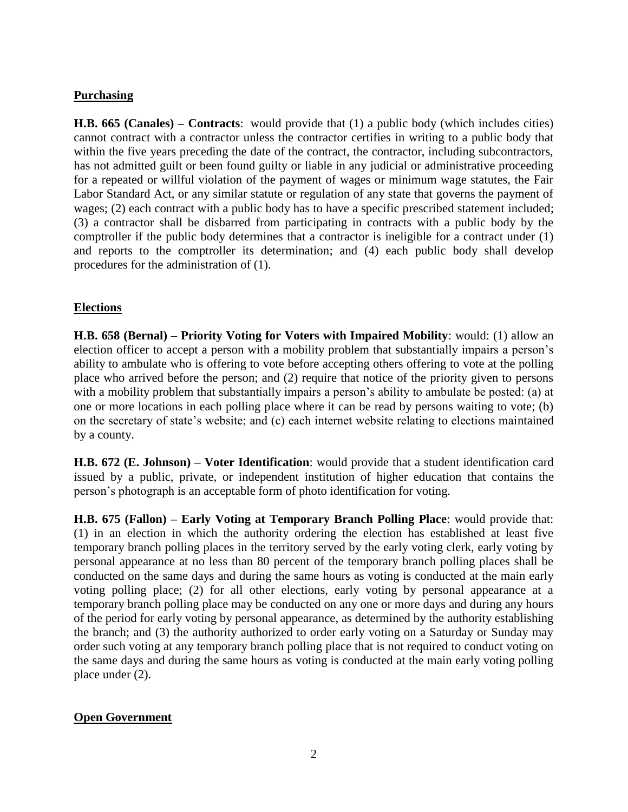## **Purchasing**

**H.B. 665 (Canales) – Contracts**: would provide that (1) a public body (which includes cities) cannot contract with a contractor unless the contractor certifies in writing to a public body that within the five years preceding the date of the contract, the contractor, including subcontractors, has not admitted guilt or been found guilty or liable in any judicial or administrative proceeding for a repeated or willful violation of the payment of wages or minimum wage statutes, the Fair Labor Standard Act, or any similar statute or regulation of any state that governs the payment of wages; (2) each contract with a public body has to have a specific prescribed statement included; (3) a contractor shall be disbarred from participating in contracts with a public body by the comptroller if the public body determines that a contractor is ineligible for a contract under (1) and reports to the comptroller its determination; and (4) each public body shall develop procedures for the administration of (1).

#### **Elections**

**H.B. 658 (Bernal) – Priority Voting for Voters with Impaired Mobility**: would: (1) allow an election officer to accept a person with a mobility problem that substantially impairs a person's ability to ambulate who is offering to vote before accepting others offering to vote at the polling place who arrived before the person; and (2) require that notice of the priority given to persons with a mobility problem that substantially impairs a person's ability to ambulate be posted: (a) at one or more locations in each polling place where it can be read by persons waiting to vote; (b) on the secretary of state's website; and (c) each internet website relating to elections maintained by a county.

**H.B. 672 (E. Johnson) – Voter Identification**: would provide that a student identification card issued by a public, private, or independent institution of higher education that contains the person's photograph is an acceptable form of photo identification for voting.

**H.B. 675 (Fallon) – Early Voting at Temporary Branch Polling Place**: would provide that: (1) in an election in which the authority ordering the election has established at least five temporary branch polling places in the territory served by the early voting clerk, early voting by personal appearance at no less than 80 percent of the temporary branch polling places shall be conducted on the same days and during the same hours as voting is conducted at the main early voting polling place; (2) for all other elections, early voting by personal appearance at a temporary branch polling place may be conducted on any one or more days and during any hours of the period for early voting by personal appearance, as determined by the authority establishing the branch; and (3) the authority authorized to order early voting on a Saturday or Sunday may order such voting at any temporary branch polling place that is not required to conduct voting on the same days and during the same hours as voting is conducted at the main early voting polling place under (2).

# **Open Government**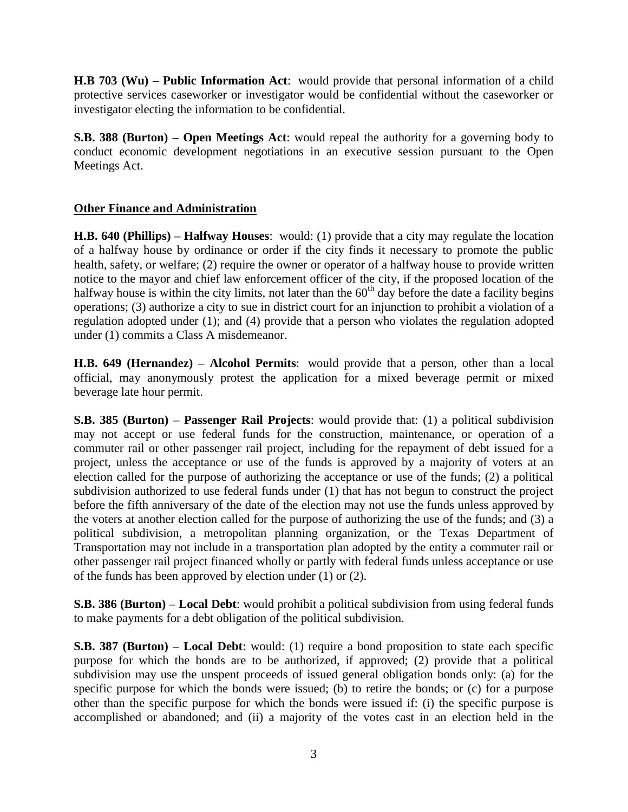**H.B 703 (Wu) – Public Information Act**: would provide that personal information of a child protective services caseworker or investigator would be confidential without the caseworker or investigator electing the information to be confidential.

**S.B. 388 (Burton) – Open Meetings Act**: would repeal the authority for a governing body to conduct economic development negotiations in an executive session pursuant to the Open Meetings Act.

# **Other Finance and Administration**

**H.B. 640 (Phillips) – Halfway Houses**: would: (1) provide that a city may regulate the location of a halfway house by ordinance or order if the city finds it necessary to promote the public health, safety, or welfare; (2) require the owner or operator of a halfway house to provide written notice to the mayor and chief law enforcement officer of the city, if the proposed location of the halfway house is within the city limits, not later than the  $60<sup>th</sup>$  day before the date a facility begins operations; (3) authorize a city to sue in district court for an injunction to prohibit a violation of a regulation adopted under (1); and (4) provide that a person who violates the regulation adopted under (1) commits a Class A misdemeanor.

**H.B. 649 (Hernandez) – Alcohol Permits**: would provide that a person, other than a local official, may anonymously protest the application for a mixed beverage permit or mixed beverage late hour permit.

**S.B. 385 (Burton) – Passenger Rail Projects**: would provide that: (1) a political subdivision may not accept or use federal funds for the construction, maintenance, or operation of a commuter rail or other passenger rail project, including for the repayment of debt issued for a project, unless the acceptance or use of the funds is approved by a majority of voters at an election called for the purpose of authorizing the acceptance or use of the funds; (2) a political subdivision authorized to use federal funds under (1) that has not begun to construct the project before the fifth anniversary of the date of the election may not use the funds unless approved by the voters at another election called for the purpose of authorizing the use of the funds; and (3) a political subdivision, a metropolitan planning organization, or the Texas Department of Transportation may not include in a transportation plan adopted by the entity a commuter rail or other passenger rail project financed wholly or partly with federal funds unless acceptance or use of the funds has been approved by election under (1) or (2).

**S.B. 386 (Burton) – Local Debt**: would prohibit a political subdivision from using federal funds to make payments for a debt obligation of the political subdivision.

**S.B. 387 (Burton) – Local Debt**: would: (1) require a bond proposition to state each specific purpose for which the bonds are to be authorized, if approved; (2) provide that a political subdivision may use the unspent proceeds of issued general obligation bonds only: (a) for the specific purpose for which the bonds were issued; (b) to retire the bonds; or (c) for a purpose other than the specific purpose for which the bonds were issued if: (i) the specific purpose is accomplished or abandoned; and (ii) a majority of the votes cast in an election held in the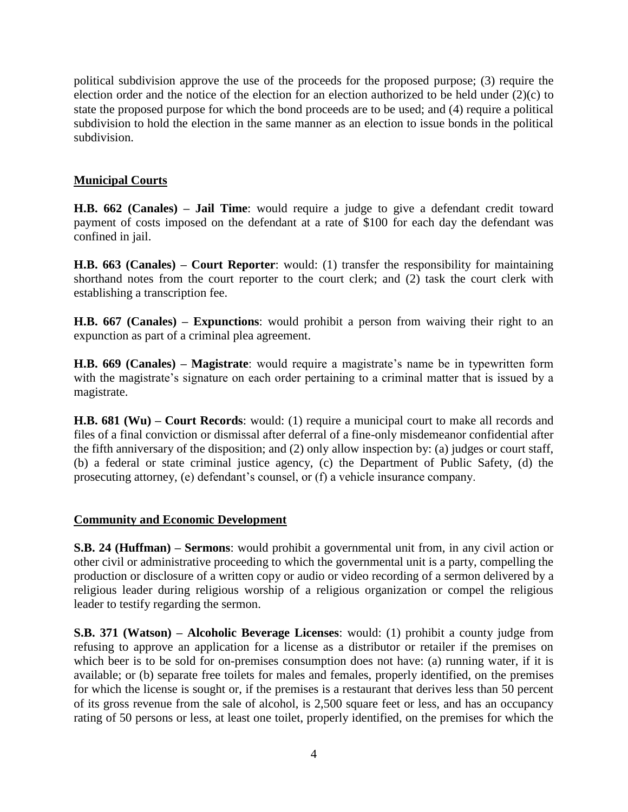political subdivision approve the use of the proceeds for the proposed purpose; (3) require the election order and the notice of the election for an election authorized to be held under (2)(c) to state the proposed purpose for which the bond proceeds are to be used; and (4) require a political subdivision to hold the election in the same manner as an election to issue bonds in the political subdivision.

# **Municipal Courts**

**H.B. 662 (Canales) – Jail Time**: would require a judge to give a defendant credit toward payment of costs imposed on the defendant at a rate of \$100 for each day the defendant was confined in jail.

**H.B. 663 (Canales) – Court Reporter**: would: (1) transfer the responsibility for maintaining shorthand notes from the court reporter to the court clerk; and (2) task the court clerk with establishing a transcription fee.

**H.B. 667 (Canales) – Expunctions**: would prohibit a person from waiving their right to an expunction as part of a criminal plea agreement.

**H.B. 669 (Canales) – Magistrate**: would require a magistrate's name be in typewritten form with the magistrate's signature on each order pertaining to a criminal matter that is issued by a magistrate.

**H.B. 681 (Wu) – Court Records**: would: (1) require a municipal court to make all records and files of a final conviction or dismissal after deferral of a fine-only misdemeanor confidential after the fifth anniversary of the disposition; and (2) only allow inspection by: (a) judges or court staff, (b) a federal or state criminal justice agency, (c) the Department of Public Safety, (d) the prosecuting attorney, (e) defendant's counsel, or (f) a vehicle insurance company.

# **Community and Economic Development**

**S.B. 24 (Huffman) – Sermons**: would prohibit a governmental unit from, in any civil action or other civil or administrative proceeding to which the governmental unit is a party, compelling the production or disclosure of a written copy or audio or video recording of a sermon delivered by a religious leader during religious worship of a religious organization or compel the religious leader to testify regarding the sermon.

**S.B. 371 (Watson) – Alcoholic Beverage Licenses**: would: (1) prohibit a county judge from refusing to approve an application for a license as a distributor or retailer if the premises on which beer is to be sold for on-premises consumption does not have: (a) running water, if it is available; or (b) separate free toilets for males and females, properly identified, on the premises for which the license is sought or, if the premises is a restaurant that derives less than 50 percent of its gross revenue from the sale of alcohol, is 2,500 square feet or less, and has an occupancy rating of 50 persons or less, at least one toilet, properly identified, on the premises for which the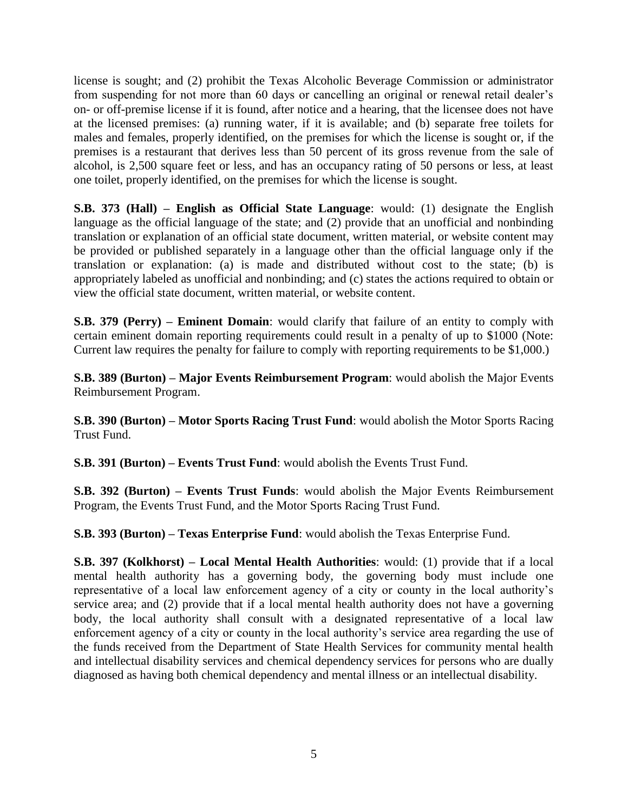license is sought; and (2) prohibit the Texas Alcoholic Beverage Commission or administrator from suspending for not more than 60 days or cancelling an original or renewal retail dealer's on- or off-premise license if it is found, after notice and a hearing, that the licensee does not have at the licensed premises: (a) running water, if it is available; and (b) separate free toilets for males and females, properly identified, on the premises for which the license is sought or, if the premises is a restaurant that derives less than 50 percent of its gross revenue from the sale of alcohol, is 2,500 square feet or less, and has an occupancy rating of 50 persons or less, at least one toilet, properly identified, on the premises for which the license is sought.

**S.B. 373 (Hall) – English as Official State Language**: would: (1) designate the English language as the official language of the state; and (2) provide that an unofficial and nonbinding translation or explanation of an official state document, written material, or website content may be provided or published separately in a language other than the official language only if the translation or explanation: (a) is made and distributed without cost to the state; (b) is appropriately labeled as unofficial and nonbinding; and (c) states the actions required to obtain or view the official state document, written material, or website content.

**S.B. 379 (Perry) – Eminent Domain**: would clarify that failure of an entity to comply with certain eminent domain reporting requirements could result in a penalty of up to \$1000 (Note: Current law requires the penalty for failure to comply with reporting requirements to be \$1,000.)

**S.B. 389 (Burton) – Major Events Reimbursement Program**: would abolish the Major Events Reimbursement Program.

**S.B. 390 (Burton) – Motor Sports Racing Trust Fund**: would abolish the Motor Sports Racing Trust Fund.

**S.B. 391 (Burton) – Events Trust Fund**: would abolish the Events Trust Fund.

**S.B. 392 (Burton) – Events Trust Funds**: would abolish the Major Events Reimbursement Program, the Events Trust Fund, and the Motor Sports Racing Trust Fund.

**S.B. 393 (Burton) – Texas Enterprise Fund**: would abolish the Texas Enterprise Fund.

**S.B. 397 (Kolkhorst) – Local Mental Health Authorities**: would: (1) provide that if a local mental health authority has a governing body, the governing body must include one representative of a local law enforcement agency of a city or county in the local authority's service area; and (2) provide that if a local mental health authority does not have a governing body, the local authority shall consult with a designated representative of a local law enforcement agency of a city or county in the local authority's service area regarding the use of the funds received from the Department of State Health Services for community mental health and intellectual disability services and chemical dependency services for persons who are dually diagnosed as having both chemical dependency and mental illness or an intellectual disability.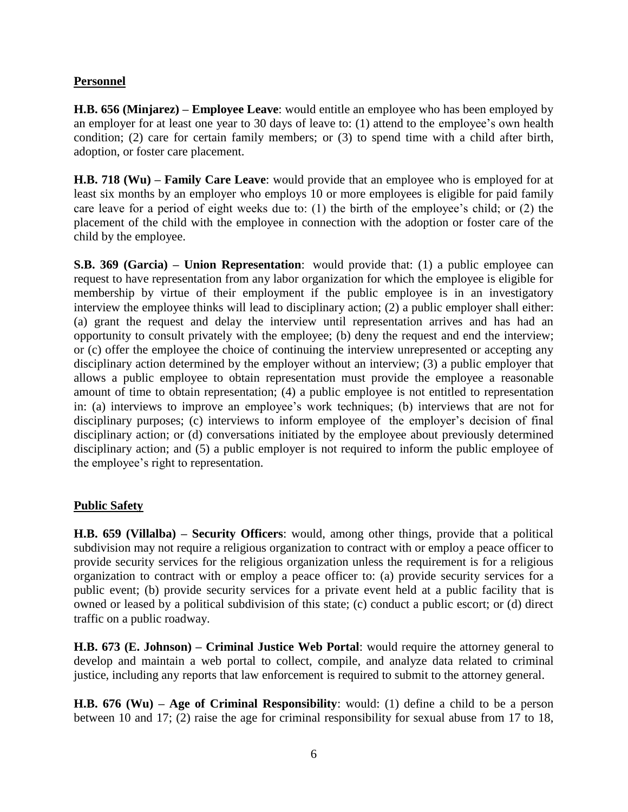## **Personnel**

**H.B. 656 (Minjarez) – Employee Leave**: would entitle an employee who has been employed by an employer for at least one year to 30 days of leave to: (1) attend to the employee's own health condition; (2) care for certain family members; or (3) to spend time with a child after birth, adoption, or foster care placement.

**H.B. 718 (Wu) – Family Care Leave**: would provide that an employee who is employed for at least six months by an employer who employs 10 or more employees is eligible for paid family care leave for a period of eight weeks due to: (1) the birth of the employee's child; or (2) the placement of the child with the employee in connection with the adoption or foster care of the child by the employee.

**S.B. 369 (Garcia) – Union Representation**: would provide that: (1) a public employee can request to have representation from any labor organization for which the employee is eligible for membership by virtue of their employment if the public employee is in an investigatory interview the employee thinks will lead to disciplinary action; (2) a public employer shall either: (a) grant the request and delay the interview until representation arrives and has had an opportunity to consult privately with the employee; (b) deny the request and end the interview; or (c) offer the employee the choice of continuing the interview unrepresented or accepting any disciplinary action determined by the employer without an interview; (3) a public employer that allows a public employee to obtain representation must provide the employee a reasonable amount of time to obtain representation; (4) a public employee is not entitled to representation in: (a) interviews to improve an employee's work techniques; (b) interviews that are not for disciplinary purposes; (c) interviews to inform employee of the employer's decision of final disciplinary action; or (d) conversations initiated by the employee about previously determined disciplinary action; and (5) a public employer is not required to inform the public employee of the employee's right to representation.

#### **Public Safety**

**H.B. 659 (Villalba) – Security Officers**: would, among other things, provide that a political subdivision may not require a religious organization to contract with or employ a peace officer to provide security services for the religious organization unless the requirement is for a religious organization to contract with or employ a peace officer to: (a) provide security services for a public event; (b) provide security services for a private event held at a public facility that is owned or leased by a political subdivision of this state; (c) conduct a public escort; or (d) direct traffic on a public roadway.

**H.B. 673 (E. Johnson) – Criminal Justice Web Portal**: would require the attorney general to develop and maintain a web portal to collect, compile, and analyze data related to criminal justice, including any reports that law enforcement is required to submit to the attorney general.

**H.B. 676 (Wu) – Age of Criminal Responsibility**: would: (1) define a child to be a person between 10 and 17; (2) raise the age for criminal responsibility for sexual abuse from 17 to 18,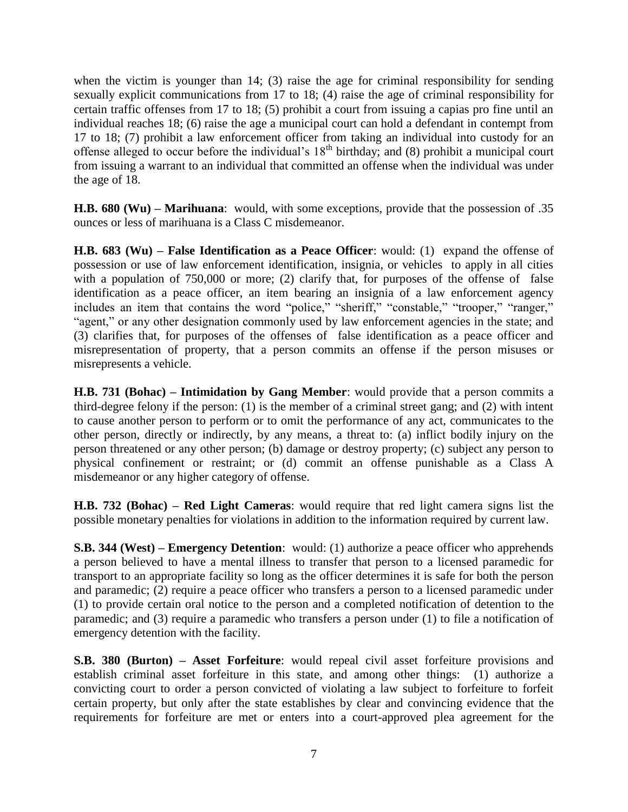when the victim is younger than 14; (3) raise the age for criminal responsibility for sending sexually explicit communications from 17 to 18; (4) raise the age of criminal responsibility for certain traffic offenses from 17 to 18; (5) prohibit a court from issuing a capias pro fine until an individual reaches 18; (6) raise the age a municipal court can hold a defendant in contempt from 17 to 18; (7) prohibit a law enforcement officer from taking an individual into custody for an offense alleged to occur before the individual's 18<sup>th</sup> birthday; and (8) prohibit a municipal court from issuing a warrant to an individual that committed an offense when the individual was under the age of 18.

**H.B. 680 (Wu) – Marihuana**: would, with some exceptions, provide that the possession of .35 ounces or less of marihuana is a Class C misdemeanor.

**H.B. 683 (Wu) – False Identification as a Peace Officer**: would: (1) expand the offense of possession or use of law enforcement identification, insignia, or vehicles to apply in all cities with a population of 750,000 or more; (2) clarify that, for purposes of the offense of false identification as a peace officer, an item bearing an insignia of a law enforcement agency includes an item that contains the word "police," "sheriff," "constable," "trooper," "ranger," "agent," or any other designation commonly used by law enforcement agencies in the state; and (3) clarifies that, for purposes of the offenses of false identification as a peace officer and misrepresentation of property, that a person commits an offense if the person misuses or misrepresents a vehicle.

**H.B. 731 (Bohac) – Intimidation by Gang Member**: would provide that a person commits a third-degree felony if the person: (1) is the member of a criminal street gang; and (2) with intent to cause another person to perform or to omit the performance of any act, communicates to the other person, directly or indirectly, by any means, a threat to: (a) inflict bodily injury on the person threatened or any other person; (b) damage or destroy property; (c) subject any person to physical confinement or restraint; or (d) commit an offense punishable as a Class A misdemeanor or any higher category of offense.

**H.B. 732 (Bohac) – Red Light Cameras**: would require that red light camera signs list the possible monetary penalties for violations in addition to the information required by current law.

**S.B. 344 (West) – Emergency Detention**: would: (1) authorize a peace officer who apprehends a person believed to have a mental illness to transfer that person to a licensed paramedic for transport to an appropriate facility so long as the officer determines it is safe for both the person and paramedic; (2) require a peace officer who transfers a person to a licensed paramedic under (1) to provide certain oral notice to the person and a completed notification of detention to the paramedic; and (3) require a paramedic who transfers a person under (1) to file a notification of emergency detention with the facility.

**S.B. 380 (Burton) – Asset Forfeiture**: would repeal civil asset forfeiture provisions and establish criminal asset forfeiture in this state, and among other things: (1) authorize a convicting court to order a person convicted of violating a law subject to forfeiture to forfeit certain property, but only after the state establishes by clear and convincing evidence that the requirements for forfeiture are met or enters into a court-approved plea agreement for the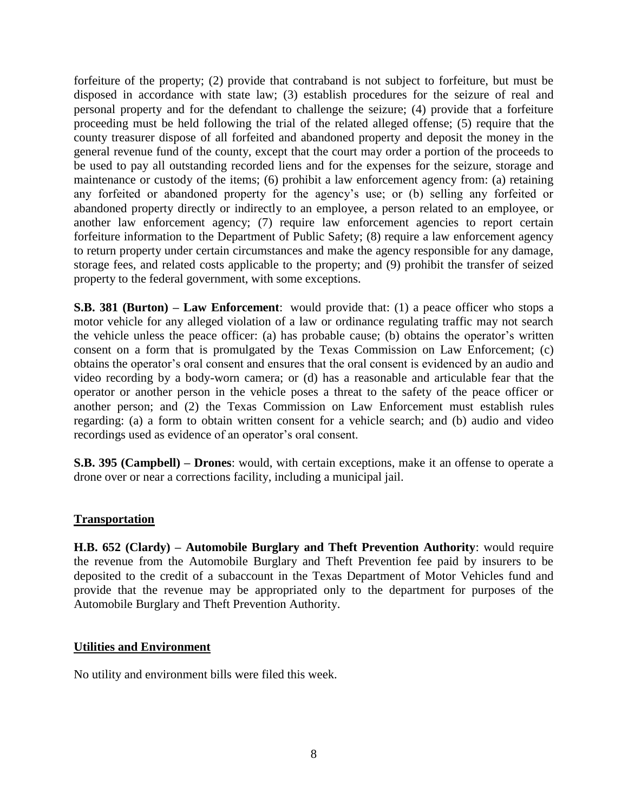forfeiture of the property; (2) provide that contraband is not subject to forfeiture, but must be disposed in accordance with state law; (3) establish procedures for the seizure of real and personal property and for the defendant to challenge the seizure; (4) provide that a forfeiture proceeding must be held following the trial of the related alleged offense; (5) require that the county treasurer dispose of all forfeited and abandoned property and deposit the money in the general revenue fund of the county, except that the court may order a portion of the proceeds to be used to pay all outstanding recorded liens and for the expenses for the seizure, storage and maintenance or custody of the items; (6) prohibit a law enforcement agency from: (a) retaining any forfeited or abandoned property for the agency's use; or (b) selling any forfeited or abandoned property directly or indirectly to an employee, a person related to an employee, or another law enforcement agency; (7) require law enforcement agencies to report certain forfeiture information to the Department of Public Safety; (8) require a law enforcement agency to return property under certain circumstances and make the agency responsible for any damage, storage fees, and related costs applicable to the property; and (9) prohibit the transfer of seized property to the federal government, with some exceptions.

**S.B. 381 (Burton) – Law Enforcement**: would provide that: (1) a peace officer who stops a motor vehicle for any alleged violation of a law or ordinance regulating traffic may not search the vehicle unless the peace officer: (a) has probable cause; (b) obtains the operator's written consent on a form that is promulgated by the Texas Commission on Law Enforcement; (c) obtains the operator's oral consent and ensures that the oral consent is evidenced by an audio and video recording by a body-worn camera; or (d) has a reasonable and articulable fear that the operator or another person in the vehicle poses a threat to the safety of the peace officer or another person; and (2) the Texas Commission on Law Enforcement must establish rules regarding: (a) a form to obtain written consent for a vehicle search; and (b) audio and video recordings used as evidence of an operator's oral consent.

**S.B. 395 (Campbell) – Drones**: would, with certain exceptions, make it an offense to operate a drone over or near a corrections facility, including a municipal jail.

#### **Transportation**

**H.B. 652 (Clardy) – Automobile Burglary and Theft Prevention Authority**: would require the revenue from the Automobile Burglary and Theft Prevention fee paid by insurers to be deposited to the credit of a subaccount in the Texas Department of Motor Vehicles fund and provide that the revenue may be appropriated only to the department for purposes of the Automobile Burglary and Theft Prevention Authority.

#### **Utilities and Environment**

No utility and environment bills were filed this week.